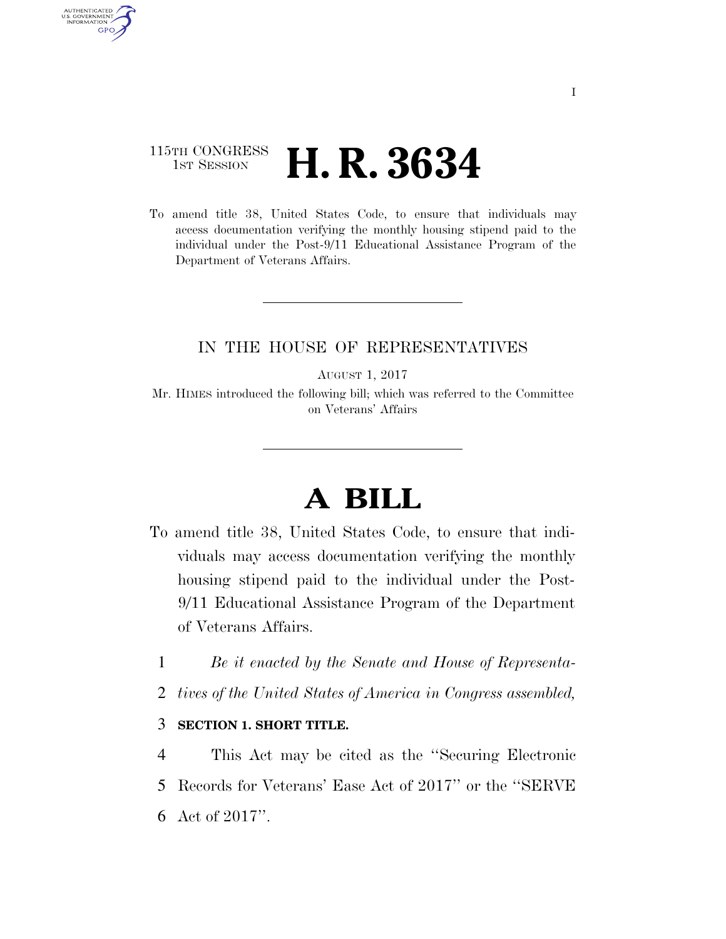### 115TH CONGRESS **1st Session H. R. 3634**

AUTHENTICATED U.S. GOVERNMENT GPO

> To amend title 38, United States Code, to ensure that individuals may access documentation verifying the monthly housing stipend paid to the individual under the Post-9/11 Educational Assistance Program of the Department of Veterans Affairs.

### IN THE HOUSE OF REPRESENTATIVES

AUGUST 1, 2017

Mr. HIMES introduced the following bill; which was referred to the Committee on Veterans' Affairs

# **A BILL**

- To amend title 38, United States Code, to ensure that individuals may access documentation verifying the monthly housing stipend paid to the individual under the Post-9/11 Educational Assistance Program of the Department of Veterans Affairs.
	- 1 *Be it enacted by the Senate and House of Representa-*
	- 2 *tives of the United States of America in Congress assembled,*

#### 3 **SECTION 1. SHORT TITLE.**

4 This Act may be cited as the ''Securing Electronic 5 Records for Veterans' Ease Act of 2017'' or the ''SERVE 6 Act of 2017''.